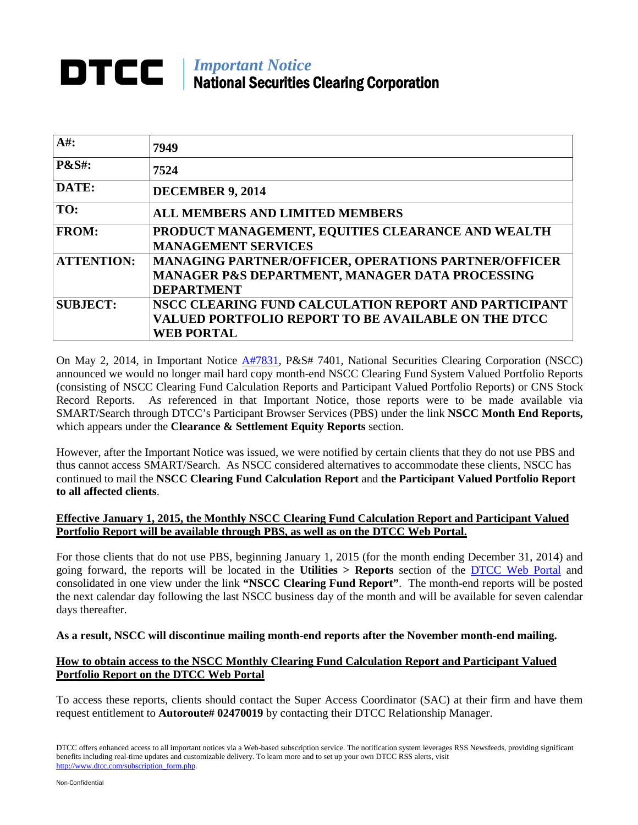## *Important Notice* National Securities Clearing Corporation

| $A#$ :            | 7949                                                                                                                                     |
|-------------------|------------------------------------------------------------------------------------------------------------------------------------------|
| <b>P&amp;S#:</b>  | 7524                                                                                                                                     |
| DATE:             | <b>DECEMBER 9, 2014</b>                                                                                                                  |
| TO:               | <b>ALL MEMBERS AND LIMITED MEMBERS</b>                                                                                                   |
| <b>FROM:</b>      | PRODUCT MANAGEMENT, EQUITIES CLEARANCE AND WEALTH<br><b>MANAGEMENT SERVICES</b>                                                          |
| <b>ATTENTION:</b> | <b>MANAGING PARTNER/OFFICER, OPERATIONS PARTNER/OFFICER</b><br>MANAGER P&S DEPARTMENT, MANAGER DATA PROCESSING<br><b>DEPARTMENT</b>      |
| <b>SUBJECT:</b>   | NSCC CLEARING FUND CALCULATION REPORT AND PARTICIPANT<br><b>VALUED PORTFOLIO REPORT TO BE AVAILABLE ON THE DTCC</b><br><b>WEB PORTAL</b> |

On May 2, 2014, in Important Notice [A#7831,](http://www.dtcc.com/~/media/Files/pdf/2014/5/2/a7831.pdf) P&S# 7401, National Securities Clearing Corporation (NSCC) announced we would no longer mail hard copy month-end NSCC Clearing Fund System Valued Portfolio Reports (consisting of NSCC Clearing Fund Calculation Reports and Participant Valued Portfolio Reports) or CNS Stock Record Reports. As referenced in that Important Notice, those reports were to be made available via SMART/Search through DTCC's Participant Browser Services (PBS) under the link **NSCC Month End Reports,** which appears under the **Clearance & Settlement Equity Reports** section.

However, after the Important Notice was issued, we were notified by certain clients that they do not use PBS and thus cannot access SMART/Search. As NSCC considered alternatives to accommodate these clients, NSCC has continued to mail the **NSCC Clearing Fund Calculation Report** and **the Participant Valued Portfolio Report to all affected clients**.

## **Effective January 1, 2015, the Monthly NSCC Clearing Fund Calculation Report and Participant Valued Portfolio Report will be available through PBS, as well as on the DTCC Web Portal.**

For those clients that do not use PBS, beginning January 1, 2015 (for the month ending December 31, 2014) and going forward, the reports will be located in the **Utilities > Reports** section of the [DTCC Web Portal](https://portal.dtcc.com/) and consolidated in one view under the link **"NSCC Clearing Fund Report"**. The month-end reports will be posted the next calendar day following the last NSCC business day of the month and will be available for seven calendar days thereafter.

**As a result, NSCC will discontinue mailing month-end reports after the November month-end mailing.**

## **How to obtain access to the NSCC Monthly Clearing Fund Calculation Report and Participant Valued Portfolio Report on the DTCC Web Portal**

To access these reports, clients should contact the Super Access Coordinator (SAC) at their firm and have them request entitlement to **Autoroute# 02470019** by contacting their DTCC Relationship Manager.

DTCC offers enhanced access to all important notices via a Web-based subscription service. The notification system leverages RSS Newsfeeds, providing significant benefits including real-time updates and customizable delivery. To learn more and to set up your own DTCC RSS alerts, visit [http://www.dtcc.com/subscription\\_form.php.](http://www.dtcc.com/subscription_form.php)